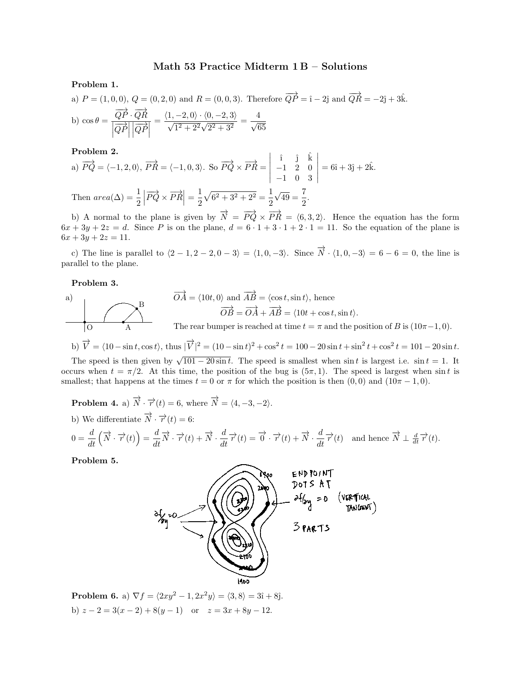## Math 53 Practice Midterm  $1 B -$  Solutions

Problem 1.

a)  $P = (1, 0, 0), Q = (0, 2, 0)$  and  $R = (0, 0, 3)$ . Therefore  $\overrightarrow{QP} = \hat{i} - 2\hat{j}$  and  $\overrightarrow{QR} = -2\hat{j} + 3\hat{k}$ . b)  $\cos \theta = \frac{\overrightarrow{QP} \cdot \overrightarrow{QR}}{1 \rightarrow 1}$  $\left|\overrightarrow{QP}\right|$  $\left|\overrightarrow{QP}\right|$  $=\frac{\langle 1,-2,0\rangle\cdot\langle 0,-2,3\rangle}{\sqrt{1^2+2^2}\sqrt{2^2+3^2}}=\frac{4}{\sqrt{6}}$ √ 65

Problem 2.

a) 
$$
\overrightarrow{PQ} = \langle -1, 2, 0 \rangle
$$
,  $\overrightarrow{PR} = \langle -1, 0, 3 \rangle$ . So  $\overrightarrow{PQ} \times \overrightarrow{PR} = \begin{vmatrix} \hat{i} & \hat{j} & \hat{k} \\ -1 & 2 & 0 \\ -1 & 0 & 3 \end{vmatrix} = 6\hat{i} + 3\hat{j} + 2\hat{k}$ .  
\nThen  $area(\Delta) = \frac{1}{2} \left| \overrightarrow{PQ} \times \overrightarrow{PR} \right| = \frac{1}{2} \sqrt{6^2 + 3^2 + 2^2} = \frac{1}{2} \sqrt{49} = \frac{7}{2}$ .

b) A normal to the plane is given by  $\overrightarrow{N} = \overrightarrow{PQ} \times \overrightarrow{PR} = \langle 6, 3, 2 \rangle$ . Hence the equation has the form  $6x + 3y + 2z = d$ . Since P is on the plane,  $d = 6 \cdot 1 + 3 \cdot 1 + 2 \cdot 1 = 11$ . So the equation of the plane is  $6x + 3y + 2z = 11.$ 

c) The line is parallel to  $\langle 2 - 1, 2 - 2, 0 - 3 \rangle = \langle 1, 0, -3 \rangle$ . Since  $\overrightarrow{N} \cdot \langle 1, 0, -3 \rangle = 6 - 6 = 0$ , the line is parallel to the plane.

Problem 3.

a)  
\n
$$
\overrightarrow{OA} = \langle 10t, 0 \rangle \text{ and } \overrightarrow{AB} = \langle \cos t, \sin t \rangle, \text{ hence}
$$
\n
$$
\overrightarrow{OB} = \overrightarrow{OA} + \overrightarrow{AB} = \langle 10t + \cos t, \sin t \rangle.
$$
\nThe rear bumper is reached at time  $t = \pi$  and the position of B is  $(10\pi - 1, 0)$ .

b)  $\vec{V} = \langle 10 - \sin t, \cos t \rangle$ , thus  $|\vec{V}|^2 = (10 - \sin t)^2 + \cos^2 t = 100 - 20 \sin t + \sin^2 t + \cos^2 t = 101 - 20 \sin t$ .

The speed is then given by  $\sqrt{101-20\sin t}$ . The speed is smallest when sin t is largest i.e. sin t = 1. It occurs when  $t = \pi/2$ . At this time, the position of the bug is  $(5\pi, 1)$ . The speed is largest when sint is smallest; that happens at the times  $t = 0$  or  $\pi$  for which the position is then  $(0, 0)$  and  $(10\pi - 1, 0)$ .

**Problem 4.** a)  $\overrightarrow{N} \cdot \overrightarrow{r}(t) = 6$ , where  $\overrightarrow{N} = \langle 4, -3, -2 \rangle$ . b) We differentiate  $\overrightarrow{N} \cdot \overrightarrow{r}(t) = 6$ :

$$
0 = \frac{d}{dt} \left( \overrightarrow{N} \cdot \overrightarrow{r}(t) \right) = \frac{d}{dt} \overrightarrow{N} \cdot \overrightarrow{r}(t) + \overrightarrow{N} \cdot \frac{d}{dt} \overrightarrow{r}(t) = \overrightarrow{0} \cdot \overrightarrow{r}(t) + \overrightarrow{N} \cdot \frac{d}{dt} \overrightarrow{r}(t)
$$
 and hence  $\overrightarrow{N} \perp \frac{d}{dt} \overrightarrow{r}(t)$ .

Problem 5.



Problem 6. a)  $\nabla f = \langle 2xy^2 - 1, 2x^2y \rangle = \langle 3, 8 \rangle = 3\hat{\imath} + 8\hat{\jmath}.$ b)  $z - 2 = 3(x - 2) + 8(y - 1)$  or  $z = 3x + 8y - 12$ .